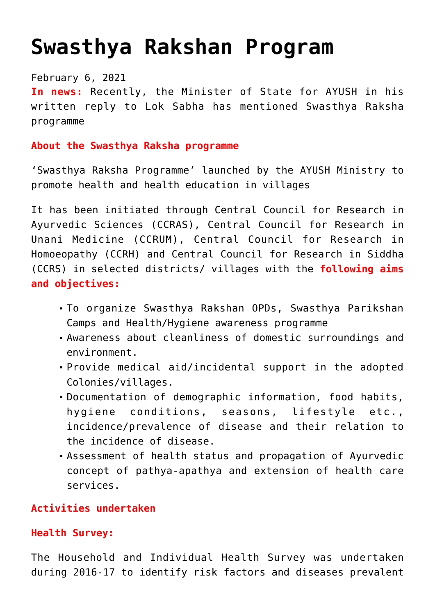# **[Swasthya Rakshan Program](https://journalsofindia.com/swasthya-rakshan-program/)**

## February 6, 2021

**In news:** Recently, the Minister of State for AYUSH in his written reply to Lok Sabha has mentioned Swasthya Raksha programme

## **About the Swasthya Raksha programme**

'Swasthya Raksha Programme' launched by the AYUSH Ministry to promote health and health education in villages

It has been initiated through Central Council for Research in Ayurvedic Sciences (CCRAS), Central Council for Research in Unani Medicine (CCRUM), Central Council for Research in Homoeopathy (CCRH) and Central Council for Research in Siddha (CCRS) in selected districts/ villages with the **following aims and objectives:**

- To organize Swasthya Rakshan OPDs, Swasthya Parikshan Camps and Health/Hygiene awareness programme
- Awareness about cleanliness of domestic surroundings and environment.
- Provide medical aid/incidental support in the adopted Colonies/villages.
- Documentation of demographic information, food habits, hygiene conditions, seasons, lifestyle etc., incidence/prevalence of disease and their relation to the incidence of disease.
- Assessment of health status and propagation of Ayurvedic concept of pathya-apathya and extension of health care services.

# **Activities undertaken**

# **Health Survey:**

The Household and Individual Health Survey was undertaken during 2016-17 to identify risk factors and diseases prevalent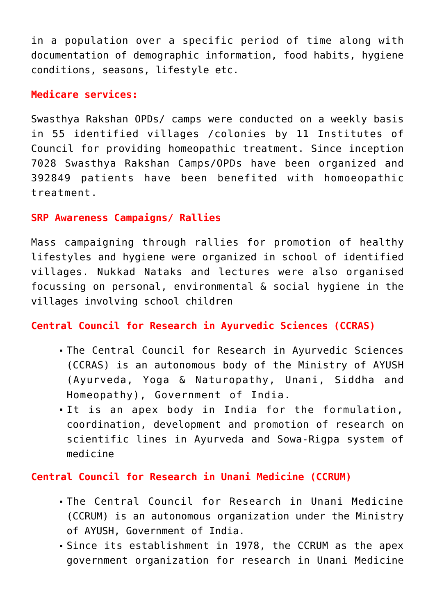in a population over a specific period of time along with documentation of demographic information, food habits, hygiene conditions, seasons, lifestyle etc.

#### **Medicare services:**

Swasthya Rakshan OPDs/ camps were conducted on a weekly basis in 55 identified villages /colonies by 11 Institutes of Council for providing homeopathic treatment. Since inception 7028 Swasthya Rakshan Camps/OPDs have been organized and 392849 patients have been benefited with homoeopathic treatment.

#### **SRP Awareness Campaigns/ Rallies**

Mass campaigning through rallies for promotion of healthy lifestyles and hygiene were organized in school of identified villages. Nukkad Nataks and lectures were also organised focussing on personal, environmental & social hygiene in the villages involving school children

# **Central Council for Research in Ayurvedic Sciences (CCRAS)**

- The Central Council for Research in Ayurvedic Sciences (CCRAS) is an autonomous body of the Ministry of AYUSH (Ayurveda, Yoga & Naturopathy, Unani, Siddha and Homeopathy), Government of India.
- It is an apex body in India for the formulation, coordination, development and promotion of research on scientific lines in Ayurveda and Sowa-Rigpa system of medicine

## **Central Council for Research in Unani Medicine (CCRUM)**

- The Central Council for Research in Unani Medicine (CCRUM) is an autonomous organization under the Ministry of AYUSH, Government of India.
- Since its establishment in 1978, the CCRUM as the apex government organization for research in Unani Medicine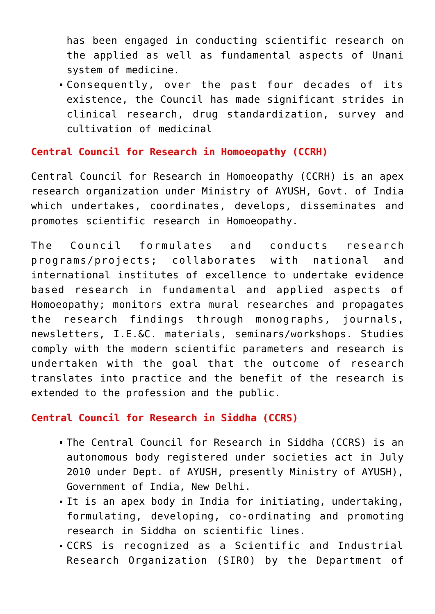has been engaged in conducting scientific research on the applied as well as fundamental aspects of Unani system of medicine.

Consequently, over the past four decades of its existence, the Council has made significant strides in clinical research, drug standardization, survey and cultivation of medicinal

#### **Central Council for Research in Homoeopathy (CCRH)**

Central Council for Research in Homoeopathy (CCRH) is an apex research organization under Ministry of AYUSH, Govt. of India which undertakes, coordinates, develops, disseminates and promotes scientific research in Homoeopathy.

The Council formulates and conducts research programs/projects; collaborates with national and international institutes of excellence to undertake evidence based research in fundamental and applied aspects of Homoeopathy; monitors extra mural researches and propagates the research findings through monographs, journals, newsletters, I.E.&C. materials, seminars/workshops. Studies comply with the modern scientific parameters and research is undertaken with the goal that the outcome of research translates into practice and the benefit of the research is extended to the profession and the public.

### **Central Council for Research in Siddha (CCRS)**

- The Central Council for Research in Siddha (CCRS) is an autonomous body registered under societies act in July 2010 under Dept. of AYUSH, presently Ministry of AYUSH), Government of India, New Delhi.
- It is an apex body in India for initiating, undertaking, formulating, developing, co-ordinating and promoting research in Siddha on scientific lines.
- CCRS is recognized as a Scientific and Industrial Research Organization (SIRO) by the Department of